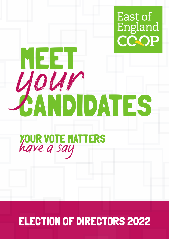

# MEET CANDIDATES *your*

# YOUR VOTE MATTERS *have a say*

# ELECTION OF DIRECTORS 2022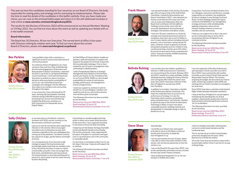This year we have five candidates standing for four vacancies on our Board of Directors, the body responsible for setting policy and strategy and for overseeing its implementation. Please take the time to read the details of the candidates in this leaflet carefully. Once you have made your choice, you can vote on the enclosed ballot paper and return it in the self-addressed envelope or vote online at **www.cesvotes.com/eastofenglandcoop2022.**

**Bev Perkins** I am a problem solver with a conscience, a significant record of success and a keen sense of community purpose.

The results for the Election of Directors 2022 will be announced at our Annual Members' Meeting on 19 May 2022. You can find out more about this event as well as updating your details with us in the leaflet enclosed.

## **Board Information**

The Board has 16 Directors. All are non-Executive. The normal term of office is four years with Directors retiring by rotation each year. To find out more about the current Board of Directors, please visit **www.eastofengland.coop/board**.

As a Director of East of England Co-op, I have served as Chair and Vice-Chair of Membership & Community Engagement, Performance and Remuneration & Search Committees. I represent the EoE Co-op at the Co-op National Members Council and Senate. I work with the Board and Executives to embed our values in business decisions while ensuring the sustainability of our Co-op. I am immensely proud of our campaigns and colleagues and the difference they make to our members and communities throughout the region.

**Sally Chicken** In my many years on this Board, I served as President until 2020, and am currently on the Remuneration and Search committee.

In my community, I have volunteered for 30 years, working with the homeless; founding a festival raising £100,000 for good causes; promoting local services and volunteering; establishing allotments; working as an NHS Community First Responder and as Deputy Mayor.

As Chief Officer of Citizens Advice I enable our partners, staff and volunteers to support and empower the people of Colchester to deal with life's (considerable) challenges. Prior to that I worked for over 25 years in management roles culminating in a Board position.

I hold a Postgraduate Diploma in Strategic Management and a Masters in Environment, Science and Society. As Vice-President of the Co-op Council (2016-2020) my role included responsibility for review of core business strategy, performance, risk management, finance and governance.

Solicitor in 1995 and practiced in Colch am not practicing at the moment. Betw and 2014 I worked for a small, profitabl wholesale business, helping the Finance and running the office while the owners away. Since 2014 I have been a Directo East of England Co-op and since 2018, Vice-President.

I want your support to continue to work to benefit our Co-op (colleagues, members and suppliers) and see our communities become more resilient, grow and prosper.

The following information has been provided by the Secretary:

In addition to my duties, I have been a r of the Performance Review Committee. holds the Leadership Team to account f performance of strategy. It is also the Committee which monitors sustainabil policy and performance. Last Summer, to spend two days at the Centre for Alte Technology in Wales, to learn more abo sustainable practices, building materials developments in renewable energy in or benefit our Co-op.

## **Steve Shaw** Dear Member,



Board service since last AMM (May 2021) Board meetings: 10 out of 10 Remuneration & Search Committee: 8 out of 8



Society Director May 2013 to date

I ask you to vote for me and the other experienced Directors in this election. We've encouraged new talent onto our Board but we also need continuity, especially at this very challenging time coming out of the pandemic. Our Board currently has a good mix of ages, gender balance and length of service.

I would like your Valued votes and supp to be able to return to the Board, to hel Society and community, to shape the East of England Co-op.

I ran my own business for over 15 years I was able to meet many other member society. Like me they are passionate on society is run.

I was on the Board for five years from 2015 on the membership committee and was for the Coop Juniors Theatre Company.

I'm a strong advocate of our Sourced Locally strategy to support the local economy and provide high quality foods that our members want to buy. My priority has been to make our values commercially successful. I have encouraged new food stores, refurbishments and new products. Our funeral business is very long standing and I'm proud of it, and it's great to see our newer Security business flourishing.

Committing to a sensible budget and living within it means we've made careful decisions. At the same time, I have supported investing in new areas to ensure we keep innovating.

**Frank Moxon** I was elected President of this Society 16 months ago, after serving as Chair of the Audit & Risk Committee. I joined the Remuneration and Search Committee in 2021. I also represent our Society on the Board of the Coop Loan Fund. I am an active and collaborative chair and Board-level contributor with the ability to challenge constructively, assist with the successful development and monitoring of strategies, find solutions and deliver results.

I helped launch the Shotley Heritage Charitable Community Benefit Society to buy Shotley Pier for the community. I have supported the formation of Student Co-op homes and Equal Care Co-op which gives care in the community to vulnerable adults.

It's clear there is tremendous pride in our Co-op, let's keep it that way. I hope you will support me to continue.

The following information has been provided by the Secretary:

Board service since last AMM (May 2021) Board meetings: 10 out of 10 Remuneration & Search Committee: 7 out of 8





Society Director May 2018 to date and May 2009 to May 2017

Society Director May 2014 to date

| ed as a<br>ester. I<br>veen 2011<br>le, Suffolk,<br>e Director<br>s were<br>or of the | I am very supportive of the idea of democracy<br>and have been a Parish Councillor since 2011.<br>Since 2019, I have acted jointly with another<br>Councillor as Joint Interim Parish Clerk and sole<br>Responsible Financial Officer. This involves<br>preparing the budget, the documents for internal<br>audit, monitoring compliance with GDPR and<br>working with our Parish Councillors to strengthen<br>our local voice. |
|---------------------------------------------------------------------------------------|---------------------------------------------------------------------------------------------------------------------------------------------------------------------------------------------------------------------------------------------------------------------------------------------------------------------------------------------------------------------------------------------------------------------------------|
| member<br>. This                                                                      | Since 2019 I have been a volunteer at the Ipswich<br>Night-shelter between November and March.                                                                                                                                                                                                                                                                                                                                  |
| for its<br>ity<br>I decided<br>ernative<br>иt<br>ls and<br>rder to                    | I shop at the East of England Co-op and support<br>maintaining the extending the use of local<br>suppliers, improving the quality and content of<br>food and drink and achieving the best outcome<br>for Co-op Members.                                                                                                                                                                                                         |
|                                                                                       | The following information has been provided<br>by the Secretary:                                                                                                                                                                                                                                                                                                                                                                |
|                                                                                       | Board service since last AMM (May 2021)<br>Board meetings: 9 out of 10                                                                                                                                                                                                                                                                                                                                                          |
|                                                                                       | Performance Review Committee: 4 out of 4                                                                                                                                                                                                                                                                                                                                                                                        |
|                                                                                       | I listen to members and staff; I will bring their                                                                                                                                                                                                                                                                                                                                                                               |
| ort<br>p our<br>s, where<br>rs of the<br>how the                                      | concerns to other board members and the<br>Leadership team.                                                                                                                                                                                                                                                                                                                                                                     |
|                                                                                       | The Co-op was set up on ethics and principles,<br>some have changed over the years. Other<br>Business try to be like the society.                                                                                                                                                                                                                                                                                               |
|                                                                                       | All my life I have lived and worked on these ethics<br>and principles, before I knew it was the Co-op way<br>of doing things.                                                                                                                                                                                                                                                                                                   |
| 015, I was<br>s a trustee                                                             |                                                                                                                                                                                                                                                                                                                                                                                                                                 |

I have worked and shopped for Co-op for over 35 years in Suffolk and London.

Society Director May 2015 to November 2020

I have over 30 years' experience as a financial, strategic and corporate governance adviser to companies, from start-ups to over £3 billion in size, in many industry sectors including retail and property. I am or have been, during the last 25 years, a director, trustee or governor of private and quoted companies up to £1.2 billion in size, a professional body, charities up to £30 million by annual turnover and an Essex comprehensive school. I have also chaired a Suffolk fundraising branch of a national charity.

# **Belinda Bulsing** I am married, have two children, qualified



Cooperation, hard work and determination from our colleagues, executives and directors, strongly supported by our members, has enabled the Society to navigate its way through Covid and Brexit. Further challenges ahead will require continuity and flexibility in our management, strategy and tactics while wholeheartedly applying cooperative values and our industry-leading initiatives to serve our members and our community.

I hope you can support me so that I may serve you by continuing to play an active role in ensuring that the East of England Co-op continues to thrive.

The following information has been provided by the Secretary:

Board service since last AMM (May 2021) Board meetings: 10 out of 10 Remuneration & Search Committee: 8 out of 8

Society Director May 2018 to date